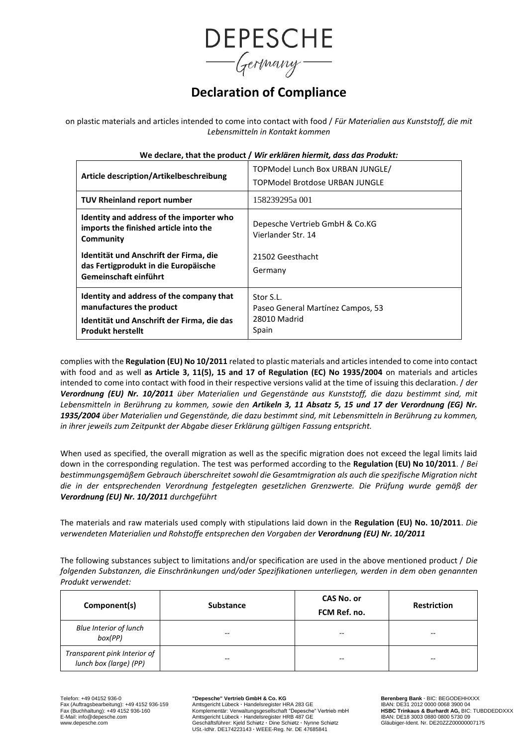

# **Declaration of Compliance**

on plastic materials and articles intended to come into contact with food / *Für Materialien aus Kunststoff, die mit Lebensmitteln in Kontakt kommen*

| Article description/Artikelbeschreibung                                                                                                        | TOPModel Lunch Box URBAN JUNGLE/<br>TOPModel Brotdose URBAN JUNGLE      |  |
|------------------------------------------------------------------------------------------------------------------------------------------------|-------------------------------------------------------------------------|--|
| <b>TUV Rheinland report number</b>                                                                                                             | 158239295a 001                                                          |  |
| Identity and address of the importer who<br>imports the finished article into the<br>Community                                                 | Depesche Vertrieb GmbH & Co.KG<br>Vierlander Str. 14                    |  |
| Identität und Anschrift der Firma, die<br>das Fertigprodukt in die Europäische<br>Gemeinschaft einführt                                        | 21502 Geesthacht<br>Germany                                             |  |
| Identity and address of the company that<br>manufactures the product<br>Identität und Anschrift der Firma, die das<br><b>Produkt herstellt</b> | Stor S.L.<br>Paseo General Martínez Campos, 53<br>28010 Madrid<br>Spain |  |

### **We declare, that the product /** *Wir erklären hiermit, dass das Produkt:*

complies with the **Regulation (EU) No 10/2011** related to plastic materials and articles intended to come into contact with food and as well **as Article 3, 11(5), 15 and 17 of Regulation (EC) No 1935/2004** on materials and articles intended to come into contact with food in their respective versions valid at the time of issuing this declaration. / *der Verordnung (EU) Nr. 10/2011 über Materialien und Gegenstände aus Kunststoff, die dazu bestimmt sind, mit Lebensmitteln in Berührung zu kommen, sowie den Artikeln 3, 11 Absatz 5, 15 und 17 der Verordnung (EG) Nr. 1935/2004 über Materialien und Gegenstände, die dazu bestimmt sind, mit Lebensmitteln in Berührung zu kommen, in ihrer jeweils zum Zeitpunkt der Abgabe dieser Erklärung gültigen Fassung entspricht.*

When used as specified, the overall migration as well as the specific migration does not exceed the legal limits laid down in the corresponding regulation. The test was performed according to the **Regulation (EU) No 10/2011**. / *Bei bestimmungsgemäßem Gebrauch überschreitet sowohl die Gesamtmigration als auch die spezifische Migration nicht die in der entsprechenden Verordnung festgelegten gesetzlichen Grenzwerte. Die Prüfung wurde gemäß der Verordnung (EU) Nr. 10/2011 durchgeführt*

The materials and raw materials used comply with stipulations laid down in the **Regulation (EU) No. 10/2011**. *Die verwendeten Materialien und Rohstoffe entsprechen den Vorgaben der Verordnung (EU) Nr. 10/2011*

The following substances subject to limitations and/or specification are used in the above mentioned product / *Die folgenden Substanzen, die Einschränkungen und/oder Spezifikationen unterliegen, werden in dem oben genannten Produkt verwendet:*

| Component(s)                                           | <b>Substance</b> | <b>CAS No. or</b><br>FCM Ref. no. | <b>Restriction</b> |
|--------------------------------------------------------|------------------|-----------------------------------|--------------------|
| <b>Blue Interior of lunch</b><br>box(PP)               | --               | --                                | --                 |
| Transparent pink Interior of<br>lunch box (large) (PP) | --               | --                                | $- -$              |

Fax (Auftragsbearbeitung): +49 4152 936-159<br>
Fax (Auftragsbearbeitung): +49 4152 936-159 Amtsgericht Lübeck · Handelsregister HRA 283 GE IBAN: DE31 2012 0000 0068 3900 04<br>
Fax (Buchhaltung): +49 4152 936-160 Komplementär: Fax (Buchhaltung): +49 4152 936-160 Komplementär: Verwaltungsgesellschaft "Depesche" Vertrieb mbH **HSBC Trinkaus & Burhardt AG,** BIC: TUBDDEDDXXX<br>E-Mail: info@depesche.com Amtsgericht Lübeck - Handels www.depesche.com Gesche.com Communications of the Communications of the Communications of the Communications of the Communications of the Communications of the Communications of the Communications of the Communications of USt.-IdNr. DE174223143 **·** WEEE-Reg. Nr. DE 47685841

Telefon: +49 04152 936-0<br>
Fax (Auftragsbearbeitung): +49 4152 936-159 **Amtsgericht Lübeck · Handelsregister HRA 283 GE BAN: DE31 2012 0000 0068 3900 04**